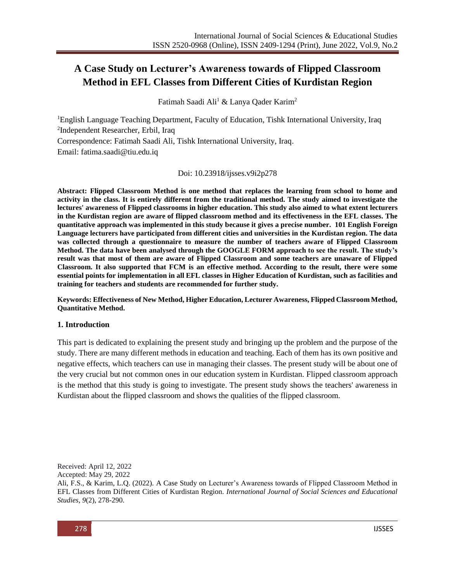# **A Case Study on Lecturer's Awareness towards of Flipped Classroom Method in EFL Classes from Different Cities of Kurdistan Region**

Fatimah Saadi Ali<sup>1</sup> & Lanya Oader Karim<sup>2</sup>

<sup>1</sup>English Language Teaching Department, Faculty of Education, Tishk International University, Iraq 2 Independent Researcher, Erbil, Iraq

Correspondence: Fatimah Saadi Ali, Tishk International University, Iraq.

Email: fatima.saadi@tiu.edu.iq

Doi: 10.23918/ijsses.v9i2p278

**Abstract: Flipped Classroom Method is one method that replaces the learning from school to home and activity in the class. It is entirely different from the traditional method. The study aimed to investigate the lectures' awareness of Flipped classrooms in higher education. This study also aimed to what extent lecturers in the Kurdistan region are aware of flipped classroom method and its effectiveness in the EFL classes. The quantitative approach was implemented in this study because it gives a precise number. 101 English Foreign Language lecturers have participated from different cities and universities in the Kurdistan region. The data was collected through a questionnaire to measure the number of teachers aware of Flipped Classroom Method. The data have been analysed through the GOOGLE FORM approach to see the result. The study's result was that most of them are aware of Flipped Classroom and some teachers are unaware of Flipped Classroom. It also supported that FCM is an effective method. According to the result, there were some essential points for implementation in all EFL classes in Higher Education of Kurdistan, such as facilities and training for teachers and students are recommended for further study.**

**Keywords: Effectiveness of New Method, Higher Education, Lecturer Awareness, Flipped Classroom Method, Quantitative Method.** 

### **1. Introduction**

This part is dedicated to explaining the present study and bringing up the problem and the purpose of the study. There are many different methods in education and teaching. Each of them has its own positive and negative effects, which teachers can use in managing their classes. The present study will be about one of the very crucial but not common ones in our education system in Kurdistan. Flipped classroom approach is the method that this study is going to investigate. The present study shows the teachers' awareness in Kurdistan about the flipped classroom and shows the qualities of the flipped classroom.

Received: April 12, 2022

Accepted: May 29, 2022

Ali, F.S., & Karim, L.Q. (2022). A Case Study on Lecturer's Awareness towards of Flipped Classroom Method in EFL Classes from Different Cities of Kurdistan Region. *International Journal of Social Sciences and Educational Studies, 9*(2), 278-290.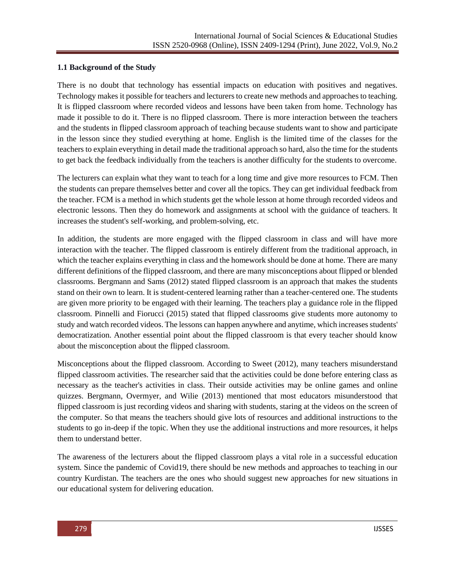### **1.1 Background of the Study**

There is no doubt that technology has essential impacts on education with positives and negatives. Technology makes it possible for teachers and lecturers to create new methods and approaches to teaching. It is flipped classroom where recorded videos and lessons have been taken from home. Technology has made it possible to do it. There is no flipped classroom. There is more interaction between the teachers and the students in flipped classroom approach of teaching because students want to show and participate in the lesson since they studied everything at home. English is the limited time of the classes for the teachers to explain everything in detail made the traditional approach so hard, also the time for the students to get back the feedback individually from the teachers is another difficulty for the students to overcome.

The lecturers can explain what they want to teach for a long time and give more resources to FCM. Then the students can prepare themselves better and cover all the topics. They can get individual feedback from the teacher. FCM is a method in which students get the whole lesson at home through recorded videos and electronic lessons. Then they do homework and assignments at school with the guidance of teachers. It increases the student's self-working, and problem-solving, etc.

In addition, the students are more engaged with the flipped classroom in class and will have more interaction with the teacher. The flipped classroom is entirely different from the traditional approach, in which the teacher explains everything in class and the homework should be done at home. There are many different definitions of the flipped classroom, and there are many misconceptions about flipped or blended classrooms. Bergmann and Sams (2012) stated flipped classroom is an approach that makes the students stand on their own to learn. It is student-centered learning rather than a teacher-centered one. The students are given more priority to be engaged with their learning. The teachers play a guidance role in the flipped classroom. Pinnelli and Fiorucci (2015) stated that flipped classrooms give students more autonomy to study and watch recorded videos. The lessons can happen anywhere and anytime, which increases students' democratization. Another essential point about the flipped classroom is that every teacher should know about the misconception about the flipped classroom.

Misconceptions about the flipped classroom. According to Sweet (2012), many teachers misunderstand flipped classroom activities. The researcher said that the activities could be done before entering class as necessary as the teacher's activities in class. Their outside activities may be online games and online quizzes. Bergmann, Overmyer, and Wilie (2013) mentioned that most educators misunderstood that flipped classroom is just recording videos and sharing with students, staring at the videos on the screen of the computer. So that means the teachers should give lots of resources and additional instructions to the students to go in-deep if the topic. When they use the additional instructions and more resources, it helps them to understand better.

The awareness of the lecturers about the flipped classroom plays a vital role in a successful education system. Since the pandemic of Covid19, there should be new methods and approaches to teaching in our country Kurdistan. The teachers are the ones who should suggest new approaches for new situations in our educational system for delivering education.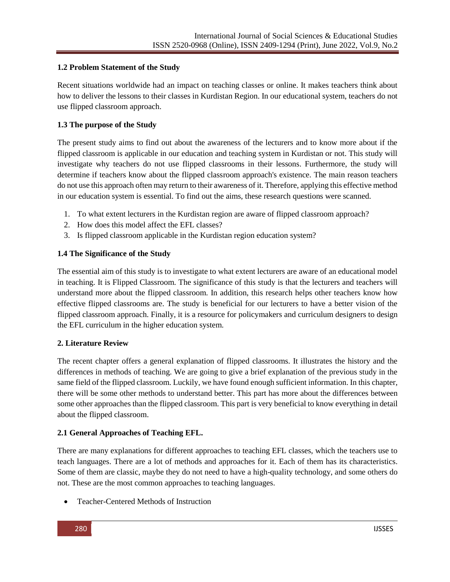# **1.2 Problem Statement of the Study**

Recent situations worldwide had an impact on teaching classes or online. It makes teachers think about how to deliver the lessons to their classes in Kurdistan Region. In our educational system, teachers do not use flipped classroom approach.

### **1.3 The purpose of the Study**

The present study aims to find out about the awareness of the lecturers and to know more about if the flipped classroom is applicable in our education and teaching system in Kurdistan or not. This study will investigate why teachers do not use flipped classrooms in their lessons. Furthermore, the study will determine if teachers know about the flipped classroom approach's existence. The main reason teachers do not use this approach often may return to their awareness of it. Therefore, applying this effective method in our education system is essential. To find out the aims, these research questions were scanned.

- 1. To what extent lecturers in the Kurdistan region are aware of flipped classroom approach?
- 2. How does this model affect the EFL classes?
- 3. Is flipped classroom applicable in the Kurdistan region education system?

# **1.4 The Significance of the Study**

The essential aim of this study is to investigate to what extent lecturers are aware of an educational model in teaching. It is Flipped Classroom. The significance of this study is that the lecturers and teachers will understand more about the flipped classroom. In addition, this research helps other teachers know how effective flipped classrooms are. The study is beneficial for our lecturers to have a better vision of the flipped classroom approach. Finally, it is a resource for policymakers and curriculum designers to design the EFL curriculum in the higher education system.

# **2. Literature Review**

The recent chapter offers a general explanation of flipped classrooms. It illustrates the history and the differences in methods of teaching. We are going to give a brief explanation of the previous study in the same field of the flipped classroom. Luckily, we have found enough sufficient information. In this chapter, there will be some other methods to understand better. This part has more about the differences between some other approaches than the flipped classroom. This part is very beneficial to know everything in detail about the flipped classroom.

# **2.1 General Approaches of Teaching EFL.**

There are many explanations for different approaches to teaching EFL classes, which the teachers use to teach languages. There are a lot of methods and approaches for it. Each of them has its characteristics. Some of them are classic, maybe they do not need to have a high-quality technology, and some others do not. These are the most common approaches to teaching languages.

Teacher-Centered Methods of Instruction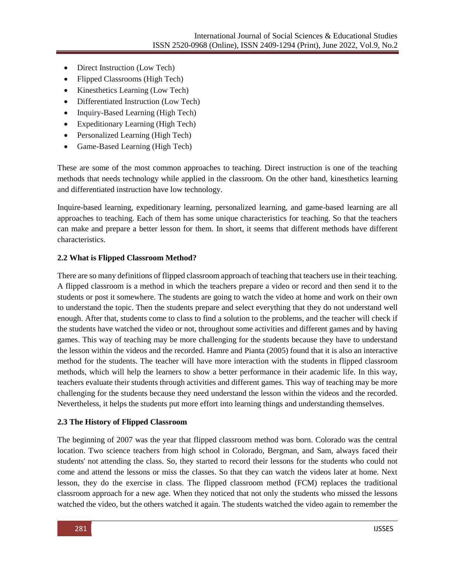- Direct Instruction (Low Tech)
- Flipped Classrooms (High Tech)
- Kinesthetics Learning (Low Tech)
- Differentiated Instruction (Low Tech)
- Inquiry-Based Learning (High Tech)
- Expeditionary Learning (High Tech)
- Personalized Learning (High Tech)
- Game-Based Learning (High Tech)

These are some of the most common approaches to teaching. Direct instruction is one of the teaching methods that needs technology while applied in the classroom. On the other hand, kinesthetics learning and differentiated instruction have low technology.

Inquire-based learning, expeditionary learning, personalized learning, and game-based learning are all approaches to teaching. Each of them has some unique characteristics for teaching. So that the teachers can make and prepare a better lesson for them. In short, it seems that different methods have different characteristics.

# **2.2 What is Flipped Classroom Method?**

There are so many definitions of flipped classroom approach of teaching that teachers use in their teaching. A flipped classroom is a method in which the teachers prepare a video or record and then send it to the students or post it somewhere. The students are going to watch the video at home and work on their own to understand the topic. Then the students prepare and select everything that they do not understand well enough. After that, students come to class to find a solution to the problems, and the teacher will check if the students have watched the video or not, throughout some activities and different games and by having games. This way of teaching may be more challenging for the students because they have to understand the lesson within the videos and the recorded. Hamre and Pianta (2005) found that it is also an interactive method for the students. The teacher will have more interaction with the students in flipped classroom methods, which will help the learners to show a better performance in their academic life. In this way, teachers evaluate their students through activities and different games. This way of teaching may be more challenging for the students because they need understand the lesson within the videos and the recorded. Nevertheless, it helps the students put more effort into learning things and understanding themselves.

### **2.3 The History of Flipped Classroom**

The beginning of 2007 was the year that flipped classroom method was born. Colorado was the central location. Two science teachers from high school in Colorado, Bergman, and Sam, always faced their students' not attending the class. So, they started to record their lessons for the students who could not come and attend the lessons or miss the classes. So that they can watch the videos later at home. Next lesson, they do the exercise in class. The flipped classroom method (FCM) replaces the traditional classroom approach for a new age. When they noticed that not only the students who missed the lessons watched the video, but the others watched it again. The students watched the video again to remember the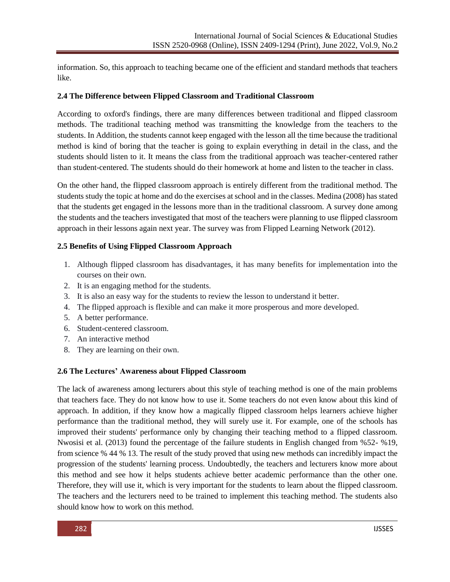information. So, this approach to teaching became one of the efficient and standard methods that teachers like.

### **2.4 The Difference between Flipped Classroom and Traditional Classroom**

According to oxford's findings, there are many differences between traditional and flipped classroom methods. The traditional teaching method was transmitting the knowledge from the teachers to the students. In Addition, the students cannot keep engaged with the lesson all the time because the traditional method is kind of boring that the teacher is going to explain everything in detail in the class, and the students should listen to it. It means the class from the traditional approach was teacher-centered rather than student-centered. The students should do their homework at home and listen to the teacher in class.

On the other hand, the flipped classroom approach is entirely different from the traditional method. The students study the topic at home and do the exercises at school and in the classes. Medina (2008) has stated that the students get engaged in the lessons more than in the traditional classroom. A survey done among the students and the teachers investigated that most of the teachers were planning to use flipped classroom approach in their lessons again next year. The survey was from Flipped Learning Network (2012).

### **2.5 Benefits of Using Flipped Classroom Approach**

- 1. Although flipped classroom has disadvantages, it has many benefits for implementation into the courses on their own.
- 2. It is an engaging method for the students.
- 3. It is also an easy way for the students to review the lesson to understand it better.
- 4. The flipped approach is flexible and can make it more prosperous and more developed.
- 5. A better performance.
- 6. Student-centered classroom.
- 7. An interactive method
- 8. They are learning on their own.

### **2.6 The Lectures' Awareness about Flipped Classroom**

The lack of awareness among lecturers about this style of teaching method is one of the main problems that teachers face. They do not know how to use it. Some teachers do not even know about this kind of approach. In addition, if they know how a magically flipped classroom helps learners achieve higher performance than the traditional method, they will surely use it. For example, one of the schools has improved their students' performance only by changing their teaching method to a flipped classroom. Nwosisi et al. (2013) found the percentage of the failure students in English changed from %52- %19, from science % 44 % 13. The result of the study proved that using new methods can incredibly impact the progression of the students' learning process. Undoubtedly, the teachers and lecturers know more about this method and see how it helps students achieve better academic performance than the other one. Therefore, they will use it, which is very important for the students to learn about the flipped classroom. The teachers and the lecturers need to be trained to implement this teaching method. The students also should know how to work on this method.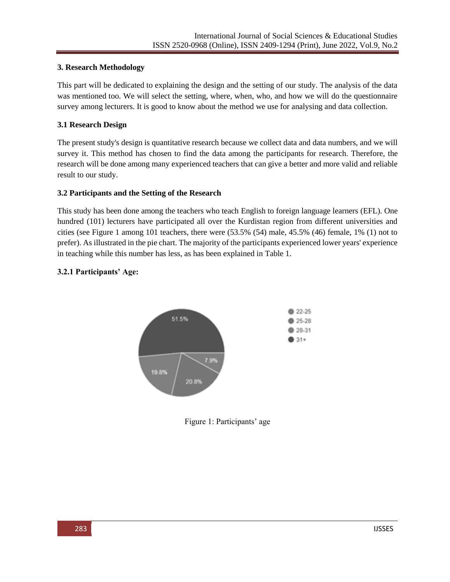# **3. Research Methodology**

This part will be dedicated to explaining the design and the setting of our study. The analysis of the data was mentioned too. We will select the setting, where, when, who, and how we will do the questionnaire survey among lecturers. It is good to know about the method we use for analysing and data collection.

# **3.1 Research Design**

The present study's design is quantitative research because we collect data and data numbers, and we will survey it. This method has chosen to find the data among the participants for research. Therefore, the research will be done among many experienced teachers that can give a better and more valid and reliable result to our study.

# **3.2 Participants and the Setting of the Research**

This study has been done among the teachers who teach English to foreign language learners (EFL). One hundred (101) lecturers have participated all over the Kurdistan region from different universities and cities (see Figure 1 among 101 teachers, there were (53.5% (54) male, 45.5% (46) female, 1% (1) not to prefer). As illustrated in the pie chart. The majority of the participants experienced lower years' experience in teaching while this number has less, as has been explained in Table 1.

# **3.2.1 Participants' Age:**



Figure 1: Participants' age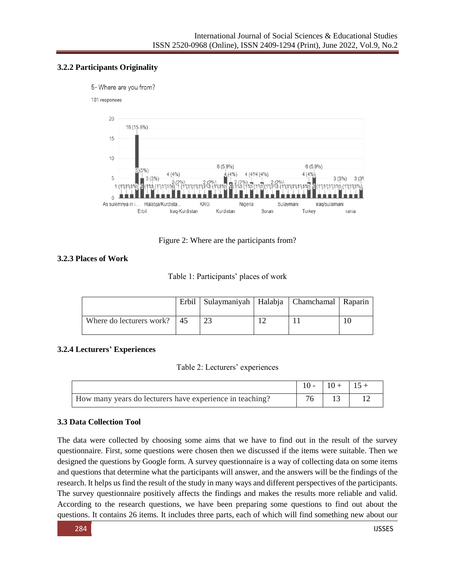# **3.2.2 Participants Originality**

5-Where are you from?

#### 101 responses



Figure 2: Where are the participants from?

# **3.2.3 Places of Work**

| Table 1: Participants' places of work |  |
|---------------------------------------|--|
|---------------------------------------|--|

|                                    | Erbil   Sulaymaniyah   Halabja   Chamchamal   Raparin |  |  |
|------------------------------------|-------------------------------------------------------|--|--|
| Where do lecturers work? $\mid$ 45 | 23                                                    |  |  |

# **3.2.4 Lecturers' Experiences**

Table 2: Lecturers' experiences

|                                                          | $10 -$ | $10 + 15 +$ |  |
|----------------------------------------------------------|--------|-------------|--|
| How many years do lecturers have experience in teaching? |        |             |  |

# **3.3 Data Collection Tool**

The data were collected by choosing some aims that we have to find out in the result of the survey questionnaire. First, some questions were chosen then we discussed if the items were suitable. Then we designed the questions by Google form. A survey questionnaire is a way of collecting data on some items and questions that determine what the participants will answer, and the answers will be the findings of the research. It helps us find the result of the study in many ways and different perspectives of the participants. The survey questionnaire positively affects the findings and makes the results more reliable and valid. According to the research questions, we have been preparing some questions to find out about the questions. It contains 26 items. It includes three parts, each of which will find something new about our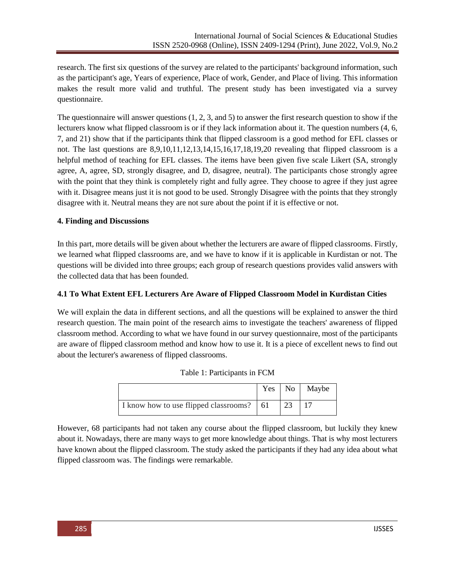research. The first six questions of the survey are related to the participants' background information, such as the participant's age, Years of experience, Place of work, Gender, and Place of living. This information makes the result more valid and truthful. The present study has been investigated via a survey questionnaire.

The questionnaire will answer questions (1, 2, 3, and 5) to answer the first research question to show if the lecturers know what flipped classroom is or if they lack information about it. The question numbers (4, 6, 7, and 21) show that if the participants think that flipped classroom is a good method for EFL classes or not. The last questions are 8,9,10,11,12,13,14,15,16,17,18,19,20 revealing that flipped classroom is a helpful method of teaching for EFL classes. The items have been given five scale Likert (SA, strongly agree, A, agree, SD, strongly disagree, and D, disagree, neutral). The participants chose strongly agree with the point that they think is completely right and fully agree. They choose to agree if they just agree with it. Disagree means just it is not good to be used. Strongly Disagree with the points that they strongly disagree with it. Neutral means they are not sure about the point if it is effective or not.

# **4. Finding and Discussions**

In this part, more details will be given about whether the lecturers are aware of flipped classrooms. Firstly, we learned what flipped classrooms are, and we have to know if it is applicable in Kurdistan or not. The questions will be divided into three groups; each group of research questions provides valid answers with the collected data that has been founded.

# **4.1 To What Extent EFL Lecturers Are Aware of Flipped Classroom Model in Kurdistan Cities**

We will explain the data in different sections, and all the questions will be explained to answer the third research question. The main point of the research aims to investigate the teachers' awareness of flipped classroom method. According to what we have found in our survey questionnaire, most of the participants are aware of flipped classroom method and know how to use it. It is a piece of excellent news to find out about the lecturer's awareness of flipped classrooms.

|                                            | Yes | N <sub>o</sub> | Maybe |
|--------------------------------------------|-----|----------------|-------|
| I know how to use flipped classrooms?   61 |     | 23             |       |

| Table 1: Participants in FCM |  |  |
|------------------------------|--|--|
|------------------------------|--|--|

However, 68 participants had not taken any course about the flipped classroom, but luckily they knew about it. Nowadays, there are many ways to get more knowledge about things. That is why most lecturers have known about the flipped classroom. The study asked the participants if they had any idea about what flipped classroom was. The findings were remarkable.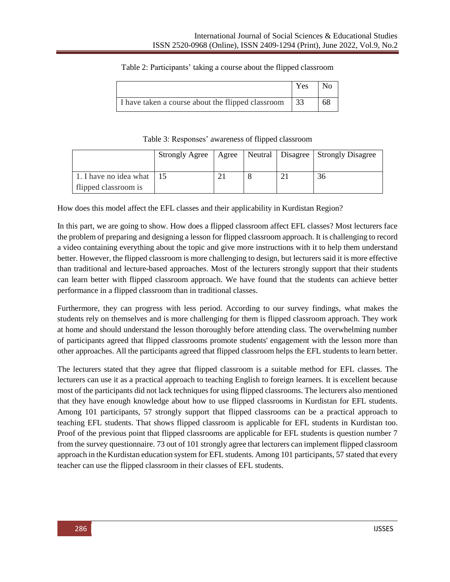### Table 2: Participants' taking a course about the flipped classroom

|                                                   | Yes |    |
|---------------------------------------------------|-----|----|
| I have taken a course about the flipped classroom | -33 | 68 |

Table 3: Responses' awareness of flipped classroom

|                                                   | <b>Strongly Agree</b> | Agree |  | Neutral   Disagree   Strongly Disagree |
|---------------------------------------------------|-----------------------|-------|--|----------------------------------------|
| 1. I have no idea what 15<br>flipped classroom is |                       |       |  | 36                                     |

How does this model affect the EFL classes and their applicability in Kurdistan Region?

In this part, we are going to show. How does a flipped classroom affect EFL classes? Most lecturers face the problem of preparing and designing a lesson for flipped classroom approach. It is challenging to record a video containing everything about the topic and give more instructions with it to help them understand better. However, the flipped classroom is more challenging to design, but lecturers said it is more effective than traditional and lecture-based approaches. Most of the lecturers strongly support that their students can learn better with flipped classroom approach. We have found that the students can achieve better performance in a flipped classroom than in traditional classes.

Furthermore, they can progress with less period. According to our survey findings, what makes the students rely on themselves and is more challenging for them is flipped classroom approach. They work at home and should understand the lesson thoroughly before attending class. The overwhelming number of participants agreed that flipped classrooms promote students' engagement with the lesson more than other approaches. All the participants agreed that flipped classroom helps the EFL students to learn better.

The lecturers stated that they agree that flipped classroom is a suitable method for EFL classes. The lecturers can use it as a practical approach to teaching English to foreign learners. It is excellent because most of the participants did not lack techniques for using flipped classrooms. The lecturers also mentioned that they have enough knowledge about how to use flipped classrooms in Kurdistan for EFL students. Among 101 participants, 57 strongly support that flipped classrooms can be a practical approach to teaching EFL students. That shows flipped classroom is applicable for EFL students in Kurdistan too. Proof of the previous point that flipped classrooms are applicable for EFL students is question number 7 from the survey questionnaire. 73 out of 101 strongly agree that lecturers can implement flipped classroom approach in the Kurdistan education system for EFL students. Among 101 participants, 57 stated that every teacher can use the flipped classroom in their classes of EFL students.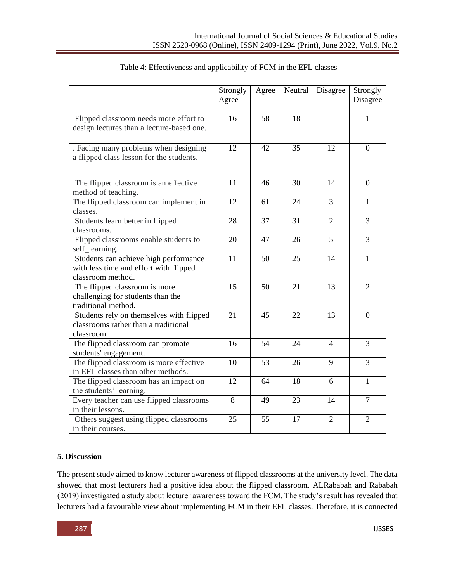|                                                                                                      | Strongly<br>Agree | Agree | Neutral | Disagree       | Strongly<br>Disagree |
|------------------------------------------------------------------------------------------------------|-------------------|-------|---------|----------------|----------------------|
| Flipped classroom needs more effort to<br>design lectures than a lecture-based one.                  | 16                | 58    | 18      |                | 1                    |
| . Facing many problems when designing<br>a flipped class lesson for the students.                    | 12                | 42    | 35      | 12             | $\theta$             |
| The flipped classroom is an effective<br>method of teaching.                                         | 11                | 46    | 30      | 14             | $\overline{0}$       |
| The flipped classroom can implement in<br>classes.                                                   | 12                | 61    | 24      | 3              | $\mathbf{1}$         |
| Students learn better in flipped<br>classrooms.                                                      | 28                | 37    | 31      | $\overline{2}$ | 3                    |
| Flipped classrooms enable students to<br>self_learning.                                              | 20                | 47    | 26      | 5              | $\overline{3}$       |
| Students can achieve high performance<br>with less time and effort with flipped<br>classroom method. | 11                | 50    | 25      | 14             | $\mathbf{1}$         |
| The flipped classroom is more<br>challenging for students than the<br>traditional method.            | 15                | 50    | 21      | 13             | $\overline{2}$       |
| Students rely on themselves with flipped<br>classrooms rather than a traditional<br>classroom.       | 21                | 45    | 22      | 13             | $\boldsymbol{0}$     |
| The flipped classroom can promote<br>students' engagement.                                           | 16                | 54    | 24      | $\overline{4}$ | 3                    |
| The flipped classroom is more effective<br>in EFL classes than other methods.                        | 10                | 53    | 26      | 9              | $\overline{3}$       |
| The flipped classroom has an impact on<br>the students' learning.                                    | 12                | 64    | 18      | 6              | $\mathbf{1}$         |
| Every teacher can use flipped classrooms<br>in their lessons.                                        | 8                 | 49    | 23      | 14             | $\overline{7}$       |
| Others suggest using flipped classrooms<br>in their courses.                                         | 25                | 55    | 17      | $\overline{2}$ | $\overline{2}$       |

# Table 4: Effectiveness and applicability of FCM in the EFL classes

# **5. Discussion**

The present study aimed to know lecturer awareness of flipped classrooms at the university level. The data showed that most lecturers had a positive idea about the flipped classroom. ALRababah and Rababah (2019) investigated a study about lecturer awareness toward the FCM. The study's result has revealed that lecturers had a favourable view about implementing FCM in their EFL classes. Therefore, it is connected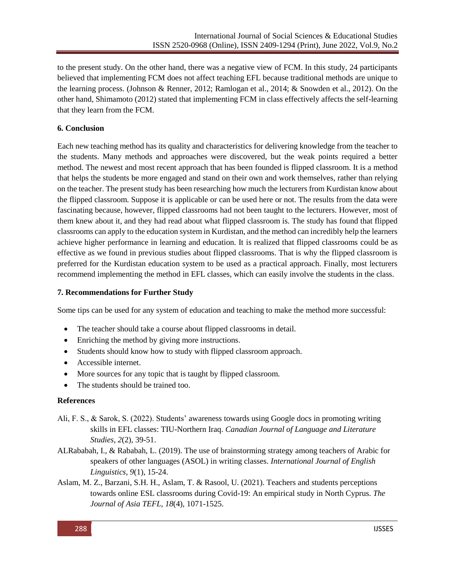to the present study. On the other hand, there was a negative view of FCM. In this study, 24 participants believed that implementing FCM does not affect teaching EFL because traditional methods are unique to the learning process. (Johnson & Renner, 2012; Ramlogan et al., 2014; & Snowden et al., 2012). On the other hand, Shimamoto (2012) stated that implementing FCM in class effectively affects the self-learning that they learn from the FCM.

# **6. Conclusion**

Each new teaching method has its quality and characteristics for delivering knowledge from the teacher to the students. Many methods and approaches were discovered, but the weak points required a better method. The newest and most recent approach that has been founded is flipped classroom. It is a method that helps the students be more engaged and stand on their own and work themselves, rather than relying on the teacher. The present study has been researching how much the lecturers from Kurdistan know about the flipped classroom. Suppose it is applicable or can be used here or not. The results from the data were fascinating because, however, flipped classrooms had not been taught to the lecturers. However, most of them knew about it, and they had read about what flipped classroom is. The study has found that flipped classrooms can apply to the education system in Kurdistan, and the method can incredibly help the learners achieve higher performance in learning and education. It is realized that flipped classrooms could be as effective as we found in previous studies about flipped classrooms. That is why the flipped classroom is preferred for the Kurdistan education system to be used as a practical approach. Finally, most lecturers recommend implementing the method in EFL classes, which can easily involve the students in the class.

### **7. Recommendations for Further Study**

Some tips can be used for any system of education and teaching to make the method more successful:

- The teacher should take a course about flipped classrooms in detail.
- Enriching the method by giving more instructions.
- Students should know how to study with flipped classroom approach.
- Accessible internet.
- More sources for any topic that is taught by flipped classroom.
- The students should be trained too.

### **References**

- Ali, F. S., & Sarok, S. (2022). Students' awareness towards using Google docs in promoting writing skills in EFL classes: TIU-Northern Iraq. *Canadian Journal of Language and Literature Studies*, *2*(2), 39-51.
- ALRababah, I., & Rababah, L. (2019). The use of brainstorming strategy among teachers of Arabic for speakers of other languages (ASOL) in writing classes. *International Journal of English Linguistics, 9*(1), 15-24.
- Aslam, M. Z., Barzani, S.H. H., Aslam, T. & Rasool, U. (2021). Teachers and students perceptions towards online ESL classrooms during Covid-19: An empirical study in North Cyprus. *The Journal of Asia TEFL, 18*(4), 1071-1525.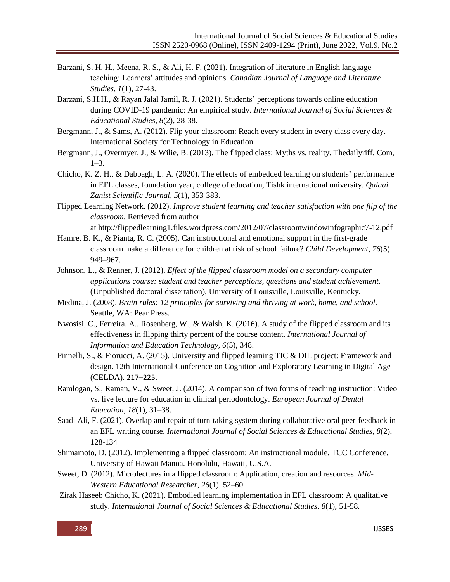- Barzani, S. H. H., Meena, R. S., & Ali, H. F. (2021). Integration of literature in English language teaching: Learners' attitudes and opinions. *Canadian Journal of Language and Literature Studies, 1*(1), 27-43.
- Barzani, S.H.H., & Rayan Jalal Jamil, R. J. (2021). Students' perceptions towards online education during COVID-19 pandemic: An empirical study. *International Journal of Social Sciences & Educational Studies, 8*(2), 28-38.
- Bergmann, J., & Sams, A. (2012). Flip your classroom: Reach every student in every class every day. International Society for Technology in Education.
- Bergmann, J., Overmyer, J., & Wilie, B. (2013). The flipped class: Myths vs. reality. Thedailyriff. Com,  $1 - 3$
- Chicho, K. Z. H., & Dabbagh, L. A. (2020). The effects of embedded learning on students' performance in EFL classes, foundation year, college of education, Tishk international university. *Qalaai Zanist Scientific Journal, 5*(1), 353-383.
- Flipped Learning Network. (2012). *Improve student learning and teacher satisfaction with one flip of the classroom*. Retrieved from author

at <http://flippedlearning1.files.wordpress.com/2012/07/classroomwindowinfographic7-12.pdf>

- Hamre, B. K., & Pianta, R. C. (2005). Can instructional and emotional support in the first-grade classroom make a difference for children at risk of school failure? *Child Development*, *76*(5) 949–967.
- Johnson, L., & Renner, J. (2012). *Effect of the flipped classroom model on a secondary computer applications course: student and teacher perceptions, questions and student achievement.* (Unpublished doctoral dissertation), University of Louisville, Louisville, Kentucky.
- Medina, J. (2008). *Brain rules: 12 principles for surviving and thriving at work, home, and school*. Seattle, WA: Pear Press.
- Nwosisi, C., Ferreira, A., Rosenberg, W., & Walsh, K. (2016). A study of the flipped classroom and its effectiveness in flipping thirty percent of the course content. *International Journal of Information and Education Technology, 6*(5), 348.
- Pinnelli, S., & Fiorucci, A. (2015). University and flipped learning TIC & DIL project: Framework and design. 12th International Conference on Cognition and Exploratory Learning in Digital Age (CELDA). 217–225.
- Ramlogan, S., Raman, V., & Sweet, J. (2014). A comparison of two forms of teaching instruction: Video vs. live lecture for education in clinical periodontology. *European Journal of Dental Education, 18*(1), 31–38.
- Saadi Ali, F. (2021). Overlap and repair of turn-taking system during collaborative oral peer-feedback in an EFL writing course. *International Journal of Social Sciences & Educational Studies*, *8*(2), 128-134
- Shimamoto, D. (2012). Implementing a flipped classroom: An instructional module. TCC Conference, University of Hawaii Manoa. Honolulu, Hawaii, U.S.A.
- Sweet, D. (2012). Microlectures in a flipped classroom: Application, creation and resources. *Mid-Western Educational Researcher, 26*(1), 52–60
- Zirak Haseeb Chicho, K. (2021). Embodied learning implementation in EFL classroom: A qualitative study. *International Journal of Social Sciences & Educational Studies*, *8*(1), 51-58.